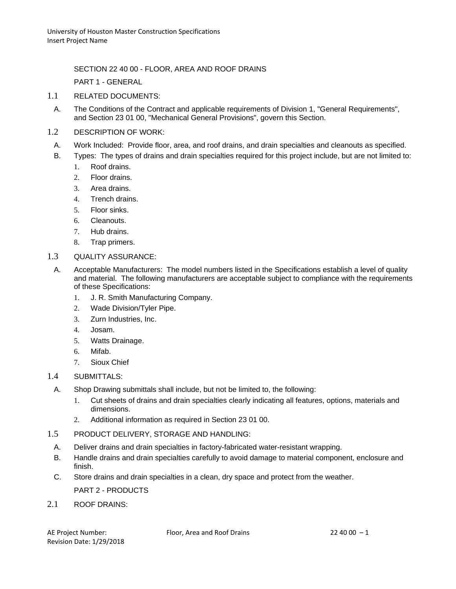SECTION 22 40 00 - FLOOR, AREA AND ROOF DRAINS

PART 1 - GENERAL

- 1.1 RELATED DOCUMENTS:
- A. The Conditions of the Contract and applicable requirements of Division 1, "General Requirements", and Section 23 01 00, "Mechanical General Provisions", govern this Section.
- 1.2 DESCRIPTION OF WORK:
- A. Work Included: Provide floor, area, and roof drains, and drain specialties and cleanouts as specified.
- B. Types: The types of drains and drain specialties required for this project include, but are not limited to:
	- 1. Roof drains.
	- 2. Floor drains.
	- 3. Area drains.
	- 4. Trench drains.
	- 5. Floor sinks.
	- 6. Cleanouts.
	- 7. Hub drains.
	- 8. Trap primers.
- 1.3 QUALITY ASSURANCE:
	- A. Acceptable Manufacturers: The model numbers listed in the Specifications establish a level of quality and material. The following manufacturers are acceptable subject to compliance with the requirements of these Specifications:
		- 1. J. R. Smith Manufacturing Company.
		- 2. Wade Division/Tyler Pipe.
		- 3. Zurn Industries, Inc.
		- 4. Josam.
		- 5. Watts Drainage.
		- 6. Mifab.
		- 7. Sioux Chief
- 1.4 SUBMITTALS:
	- A. Shop Drawing submittals shall include, but not be limited to, the following:
		- 1. Cut sheets of drains and drain specialties clearly indicating all features, options, materials and dimensions.
		- 2. Additional information as required in Section 23 01 00.
- 1.5 PRODUCT DELIVERY, STORAGE AND HANDLING:
	- A. Deliver drains and drain specialties in factory-fabricated water-resistant wrapping.
	- B. Handle drains and drain specialties carefully to avoid damage to material component, enclosure and finish.
	- C. Store drains and drain specialties in a clean, dry space and protect from the weather.
		- PART 2 PRODUCTS
- 2.1 ROOF DRAINS: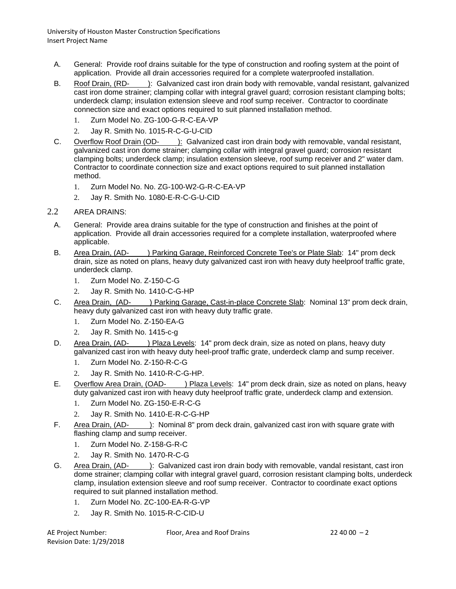- A. General: Provide roof drains suitable for the type of construction and roofing system at the point of application. Provide all drain accessories required for a complete waterproofed installation.
- B. Roof Drain, (RD- ): Galvanized cast iron drain body with removable, vandal resistant, galvanized cast iron dome strainer; clamping collar with integral gravel guard; corrosion resistant clamping bolts; underdeck clamp; insulation extension sleeve and roof sump receiver. Contractor to coordinate connection size and exact options required to suit planned installation method.
	- 1. Zurn Model No. ZG-100-G-R-C-EA-VP
	- 2. Jay R. Smith No. 1015-R-C-G-U-CID
- C. Overflow Roof Drain (OD- ): Galvanized cast iron drain body with removable, vandal resistant, galvanized cast iron dome strainer; clamping collar with integral gravel guard; corrosion resistant clamping bolts; underdeck clamp; insulation extension sleeve, roof sump receiver and 2" water dam. Contractor to coordinate connection size and exact options required to suit planned installation method.
	- 1. Zurn Model No. No. ZG-100-W2-G-R-C-EA-VP
	- 2. Jay R. Smith No. 1080-E-R-C-G-U-CID
- 2.2 AREA DRAINS:
	- A. General: Provide area drains suitable for the type of construction and finishes at the point of application. Provide all drain accessories required for a complete installation, waterproofed where applicable.
	- B. Area Drain, (AD- ) Parking Garage, Reinforced Concrete Tee's or Plate Slab: 14" prom deck drain, size as noted on plans, heavy duty galvanized cast iron with heavy duty heelproof traffic grate, underdeck clamp.
		- 1. Zurn Model No. Z-150-C-G
		- 2. Jay R. Smith No. 1410-C-G-HP
	- C. Area Drain, (AD- ) Parking Garage, Cast-in-place Concrete Slab: Nominal 13" prom deck drain, heavy duty galvanized cast iron with heavy duty traffic grate.
		- 1. Zurn Model No. Z-150-EA-G
		- 2. Jay R. Smith No. 1415-c-g
	- D. Area Drain, (AD- ) Plaza Levels: 14" prom deck drain, size as noted on plans, heavy duty galvanized cast iron with heavy duty heel-proof traffic grate, underdeck clamp and sump receiver.
		- 1. Zurn Model No. Z-150-R-C-G
		- 2. Jay R. Smith No. 1410-R-C-G-HP.
	- E. Overflow Area Drain, (OAD- ) Plaza Levels: 14" prom deck drain, size as noted on plans, heavy duty galvanized cast iron with heavy duty heelproof traffic grate, underdeck clamp and extension.
		- 1. Zurn Model No. ZG-150-E-R-C-G
		- 2. Jay R. Smith No. 1410-E-R-C-G-HP
	- F. Area Drain, (AD- ): Nominal 8" prom deck drain, galvanized cast iron with square grate with flashing clamp and sump receiver.
		- 1. Zurn Model No. Z-158-G-R-C
		- 2. Jay R. Smith No. 1470-R-C-G
	- G. Area Drain, (AD- ): Galvanized cast iron drain body with removable, vandal resistant, cast iron dome strainer; clamping collar with integral gravel guard, corrosion resistant clamping bolts, underdeck clamp, insulation extension sleeve and roof sump receiver. Contractor to coordinate exact options required to suit planned installation method.
		- 1. Zurn Model No. ZC-100-EA-R-G-VP
		- 2. Jay R. Smith No. 1015-R-C-CID-U

Revision Date: 1/29/2018

AE Project Number: Floor, Area and Roof Drains 22 40 00 – 2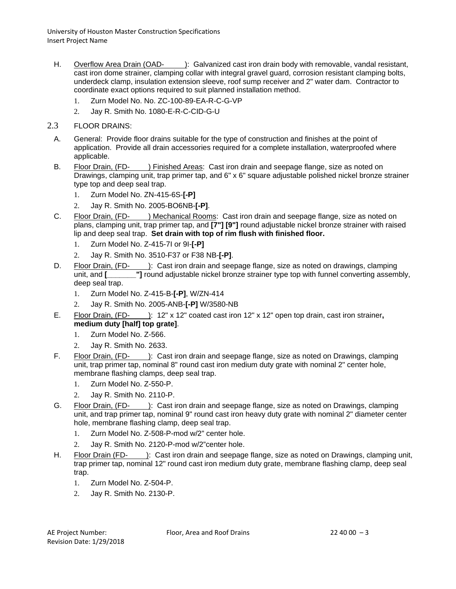- H. Overflow Area Drain (OAD- ): Galvanized cast iron drain body with removable, vandal resistant, cast iron dome strainer, clamping collar with integral gravel guard, corrosion resistant clamping bolts, underdeck clamp, insulation extension sleeve, roof sump receiver and 2" water dam. Contractor to coordinate exact options required to suit planned installation method.
	- 1. Zurn Model No. No. ZC-100-89-EA-R-C-G-VP
	- 2. Jay R. Smith No. 1080-E-R-C-CID-G-U
- 2.3 FLOOR DRAINS:
	- A. General: Provide floor drains suitable for the type of construction and finishes at the point of application. Provide all drain accessories required for a complete installation, waterproofed where applicable.
	- B. Floor Drain, (FD- ) Finished Areas: Cast iron drain and seepage flange, size as noted on Drawings, clamping unit, trap primer tap, and 6" x 6" square adjustable polished nickel bronze strainer type top and deep seal trap.
		- 1. Zurn Model No. ZN-415-6S-**[-P]**
		- 2. Jay R. Smith No. 2005-BO6NB-**[-P]**.
	- C. Floor Drain, (FD- ) Mechanical Rooms: Cast iron drain and seepage flange, size as noted on plans, clamping unit, trap primer tap, and **[7"] [9"]** round adjustable nickel bronze strainer with raised lip and deep seal trap. **Set drain with top of rim flush with finished floor.**
		- 1. Zurn Model No. Z-415-7I or 9I-**[-P]**
		- 2. Jay R. Smith No. 3510-F37 or F38 NB-**[-P]**.
	- D. Floor Drain, (FD- ): Cast iron drain and seepage flange, size as noted on drawings, clamping unit, and **[\_\_\_\_\_\_\_"]** round adjustable nickel bronze strainer type top with funnel converting assembly, deep seal trap.
		- 1. Zurn Model No. Z-415-B-**[-P]**, W/ZN-414
		- 2. Jay R. Smith No. 2005-ANB-**[-P]** W/3580-NB
	- E. Floor Drain, (FD- ): 12" x 12" coated cast iron 12" x 12" open top drain, cast iron strainer**, medium duty [half] top grate]**.
		- 1. Zurn Model No. Z-566.
		- 2. Jay R. Smith No. 2633.
	- F. Floor Drain, (FD- ): Cast iron drain and seepage flange, size as noted on Drawings, clamping unit, trap primer tap, nominal 8" round cast iron medium duty grate with nominal 2" center hole, membrane flashing clamps, deep seal trap.
		- 1. Zurn Model No. Z-550-P.
		- 2. Jay R. Smith No. 2110-P.
	- G. Floor Drain, (FD- ): Cast iron drain and seepage flange, size as noted on Drawings, clamping unit, and trap primer tap, nominal 9" round cast iron heavy duty grate with nominal 2" diameter center hole, membrane flashing clamp, deep seal trap.
		- 1. Zurn Model No. Z-508-P-mod w/2" center hole.
		- 2. Jay R. Smith No. 2120-P-mod w/2"center hole.
	- H. Floor Drain (FD- ): Cast iron drain and seepage flange, size as noted on Drawings, clamping unit, trap primer tap, nominal 12" round cast iron medium duty grate, membrane flashing clamp, deep seal trap.
		- 1. Zurn Model No. Z-504-P.
		- 2. Jay R. Smith No. 2130-P.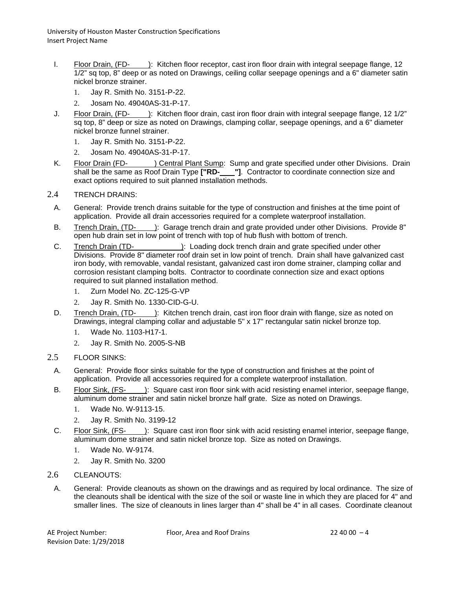- I. Floor Drain, (FD- ): Kitchen floor receptor, cast iron floor drain with integral seepage flange, 12 1/2" sq top, 8" deep or as noted on Drawings, ceiling collar seepage openings and a 6" diameter satin nickel bronze strainer.
	- 1. Jay R. Smith No. 3151-P-22.
	- 2. Josam No. 49040AS-31-P-17.
- J. Floor Drain, (FD- ): Kitchen floor drain, cast iron floor drain with integral seepage flange, 12 1/2" sq top, 8" deep or size as noted on Drawings, clamping collar, seepage openings, and a 6" diameter nickel bronze funnel strainer.
	- 1. Jay R. Smith No. 3151-P-22.
	- 2. Josam No. 49040AS-31-P-17.
- K. Floor Drain (FD- ) Central Plant Sump: Sump and grate specified under other Divisions. Drain shall be the same as Roof Drain Type **["RD- "]**. Contractor to coordinate connection size and exact options required to suit planned installation methods.
- 2.4 TRENCH DRAINS:
	- A. General: Provide trench drains suitable for the type of construction and finishes at the time point of application. Provide all drain accessories required for a complete waterproof installation.
	- B. Trench Drain, (TD- ): Garage trench drain and grate provided under other Divisions. Provide 8" open hub drain set in low point of trench with top of hub flush with bottom of trench.
	- C. Trench Drain (TD- ): Loading dock trench drain and grate specified under other Divisions. Provide 8" diameter roof drain set in low point of trench. Drain shall have galvanized cast iron body, with removable, vandal resistant, galvanized cast iron dome strainer, clamping collar and corrosion resistant clamping bolts. Contractor to coordinate connection size and exact options required to suit planned installation method.
		- 1. Zurn Model No. ZC-125-G-VP
		- 2. Jay R. Smith No. 1330-CID-G-U.
	- D. Trench Drain, (TD- ): Kitchen trench drain, cast iron floor drain with flange, size as noted on Drawings, integral clamping collar and adjustable 5" x 17" rectangular satin nickel bronze top.
		- 1. Wade No. 1103-H17-1.
		- 2. Jay R. Smith No. 2005-S-NB
- 2.5 FLOOR SINKS:
	- A. General: Provide floor sinks suitable for the type of construction and finishes at the point of application. Provide all accessories required for a complete waterproof installation.
	- B. Floor Sink, (FS- ): Square cast iron floor sink with acid resisting enamel interior, seepage flange, aluminum dome strainer and satin nickel bronze half grate. Size as noted on Drawings.
		- 1. Wade No. W-9113-15.
		- 2. Jay R. Smith No. 3199-12
	- C. Floor Sink, (FS- ): Square cast iron floor sink with acid resisting enamel interior, seepage flange, aluminum dome strainer and satin nickel bronze top. Size as noted on Drawings.
		- 1. Wade No. W-9174.
		- 2. Jay R. Smith No. 3200
- 2.6 CLEANOUTS:
- A. General: Provide cleanouts as shown on the drawings and as required by local ordinance. The size of the cleanouts shall be identical with the size of the soil or waste line in which they are placed for 4" and smaller lines. The size of cleanouts in lines larger than 4" shall be 4" in all cases. Coordinate cleanout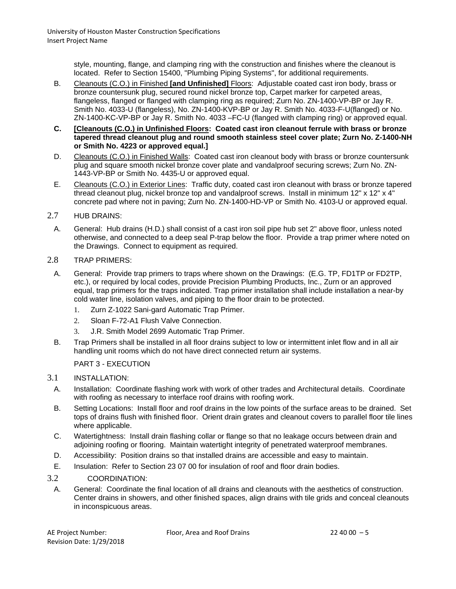style, mounting, flange, and clamping ring with the construction and finishes where the cleanout is located. Refer to Section 15400, "Plumbing Piping Systems", for additional requirements.

- B. Cleanouts (C.O.) in Finished **[and Unfinished]** Floors: Adjustable coated cast iron body, brass or bronze countersunk plug, secured round nickel bronze top, Carpet marker for carpeted areas, flangeless, flanged or flanged with clamping ring as required; Zurn No. ZN-1400-VP-BP or Jay R. Smith No. 4033-U (flangeless), No. ZN-1400-KVP-BP or Jay R. Smith No. 4033-F-U(flanged) or No. ZN-1400-KC-VP-BP or Jay R. Smith No. 4033 –FC-U (flanged with clamping ring) or approved equal.
- **C. [Cleanouts (C.O.) in Unfinished Floors: Coated cast iron cleanout ferrule with brass or bronze tapered thread cleanout plug and round smooth stainless steel cover plate; Zurn No. Z-1400-NH or Smith No. 4223 or approved equal.]**
- D. Cleanouts (C.O.) in Finished Walls: Coated cast iron cleanout body with brass or bronze countersunk plug and square smooth nickel bronze cover plate and vandalproof securing screws; Zurn No. ZN-1443-VP-BP or Smith No. 4435-U or approved equal.
- E. Cleanouts (C.O.) in Exterior Lines: Traffic duty, coated cast iron cleanout with brass or bronze tapered thread cleanout plug, nickel bronze top and vandalproof screws. Install in minimum 12" x 12" x 4" concrete pad where not in paving; Zurn No. ZN-1400-HD-VP or Smith No. 4103-U or approved equal.
- 2.7 HUB DRAINS:
	- A. General: Hub drains (H.D.) shall consist of a cast iron soil pipe hub set 2" above floor, unless noted otherwise, and connected to a deep seal P-trap below the floor. Provide a trap primer where noted on the Drawings. Connect to equipment as required.
- 2.8 TRAP PRIMERS:
	- A. General: Provide trap primers to traps where shown on the Drawings: (E.G. TP, FD1TP or FD2TP, etc.), or required by local codes, provide Precision Plumbing Products, Inc., Zurn or an approved equal, trap primers for the traps indicated. Trap primer installation shall include installation a near-by cold water line, isolation valves, and piping to the floor drain to be protected.
		- 1. Zurn Z-1022 Sani-gard Automatic Trap Primer.
		- 2. Sloan F-72-A1 Flush Valve Connection.
		- 3. J.R. Smith Model 2699 Automatic Trap Primer.
	- B. Trap Primers shall be installed in all floor drains subject to low or intermittent inlet flow and in all air handling unit rooms which do not have direct connected return air systems.

## PART 3 - EXECUTION

## 3.1 INSTALLATION:

- A. Installation: Coordinate flashing work with work of other trades and Architectural details. Coordinate with roofing as necessary to interface roof drains with roofing work.
- B. Setting Locations: Install floor and roof drains in the low points of the surface areas to be drained. Set tops of drains flush with finished floor. Orient drain grates and cleanout covers to parallel floor tile lines where applicable.
- C. Watertightness: Install drain flashing collar or flange so that no leakage occurs between drain and adjoining roofing or flooring. Maintain watertight integrity of penetrated waterproof membranes.
- D. Accessibility: Position drains so that installed drains are accessible and easy to maintain.
- E. Insulation: Refer to Section 23 07 00 for insulation of roof and floor drain bodies.
- 3.2 COORDINATION:
- A. General: Coordinate the final location of all drains and cleanouts with the aesthetics of construction. Center drains in showers, and other finished spaces, align drains with tile grids and conceal cleanouts in inconspicuous areas.